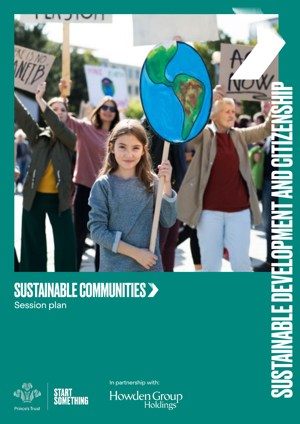

### SUSTAINABLE COMMUNITIES Session plan





In partnership with:

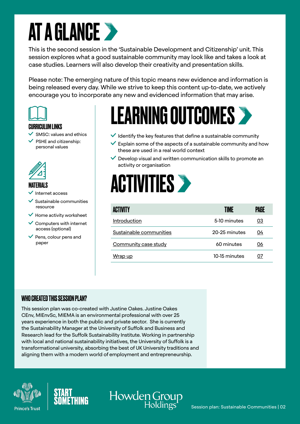### AT A GLANCE

This is the second session in the 'Sustainable Development and Citizenship' unit. This session explores what a good sustainable community may look like and takes a look at case studies. Learners will also develop their creativity and presentation skills.

Please note: The emerging nature of this topic means new evidence and information is being released every day. While we strive to keep this content up-to-date, we actively encourage you to incorporate any new and evidenced information that may arise.



#### CURRICULUM LINKS

- $\checkmark$  SMSC: values and ethics
- PSHE and citizenship: personal values



#### MATERIALS

- Internet access
- $\checkmark$  Sustainable communities resource
- $\checkmark$  Home activity worksheet
- $\checkmark$  Computers with internet access (optional)
- Pens, colour pens and paper

### LEARNING OUTCOMES

- $\blacktriangledown$  Identify the key features that define a sustainable community
- $\vee$  Explain some of the aspects of a sustainable community and how these are used in a real world context
- $\vee$  Develop visual and written communication skills to promote an activity or organisation



Howden Group

| <b>ACTIVITY</b>         | TIME          | PAGE |
|-------------------------|---------------|------|
| Introduction            | 5-10 minutes  | 03   |
| Sustainable communities | 20-25 minutes | 04   |
| Community case study    | 60 minutes    | 06   |
| Wrap up                 | 10-15 minutes | 07   |

#### WHO CREATED THIS SESSION PLAN?

This session plan was co-created with Justine Oakes. Justine Oakes CEnv, MIEnvSc, MIEMA is an environmental professional with over 25 years experience in both the public and private sector. She is currently the Sustainability Manager at the University of Suffolk and Business and Research lead for the Suffolk Sustainability Institute. Working in partnership with local and national sustainability initiatives, the University of Suffolk is a transformational university, absorbing the best of UK University traditions and aligning them with a modern world of employment and entrepreneurship.





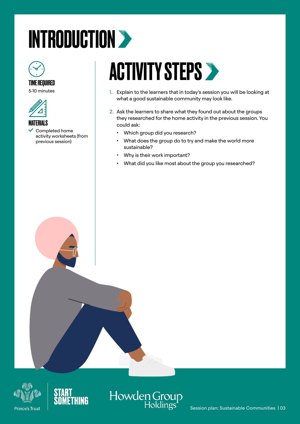### <span id="page-2-0"></span>INTRODUCTION >



#### TIME REQUIRED

5-10 minutes



#### **MATFRIALS**

 $\checkmark$  Completed home activity worksheets (from previous session)

### ACTIVITY STEPS >

- 1. Explain to the learners that in today's session you will be looking at what a good sustainable community may look like.
- 2. Ask the learners to share what they found out about the groups they researched for the home activity in the previous session. You could ask:
	- Which group did you research?
	- What does the group do to try and make the world more sustainable?
	- Why is their work important?
	- What did you like most about the group you researched?





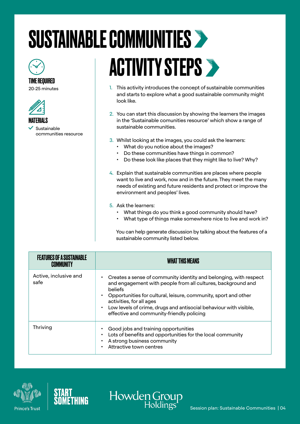# <span id="page-3-0"></span>SUSTAINABLE COMMUNITIES



### TIME REQUIRED

20-25 minutes



 Sustainable ocmmunities resource

## **ACTIVITY STEPS >**

- 1. This activity introduces the concept of sustainable communities and starts to explore what a good sustainable community might look like.
- 2. You can start this discussion by showing the learners the images in the 'Sustainable comunities resource' which show a range of sustainable communities.
- 3. Whilst looking at the images, you could ask the learners:
	- What do you notice about the images?
	- Do these communities have things in common?
	- Do these look like places that they might like to live? Why?
- 4. Explain that sustainable communities are places where people want to live and work, now and in the future. They meet the many needs of existing and future residents and protect or improve the environment and peoples' lives.
- 5. Ask the learners:
	- What things do you think a good community should have?
	- What type of things make somewhere nice to live and work in?

You can help generate discussion by talking about the features of a sustainable community listed below.

| I UKES UF A SUSTAINARI F<br>COMMUNITY | <b>WHAT THIS MEANS</b>                                                                                                                                                                                                                                                                                                                                               |
|---------------------------------------|----------------------------------------------------------------------------------------------------------------------------------------------------------------------------------------------------------------------------------------------------------------------------------------------------------------------------------------------------------------------|
| Active, inclusive and<br>safe         | Creates a sense of community identity and belonging, with respect<br>and engagement with people from all cultures, background and<br><b>beliefs</b><br>Opportunities for cultural, leisure, community, sport and other<br>activities, for all ages<br>Low levels of crime, drugs and antisocial behaviour with visible,<br>effective and community-friendly policing |
| Thriving                              | Good jobs and training opportunities<br>Lots of benefits and opportunities for the local community<br>A strong business community<br>Attractive town centres                                                                                                                                                                                                         |



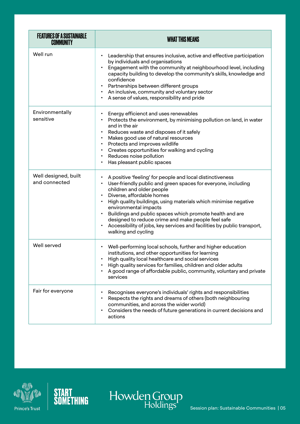| <b>FEATURES OF A SUSTAINABLE</b><br><b>COMMUNITY</b> | <b>WHAT THIS MEANS</b>                                                                                                                                                                                                                                                                                                                                                                                                                                                                                                                                                |
|------------------------------------------------------|-----------------------------------------------------------------------------------------------------------------------------------------------------------------------------------------------------------------------------------------------------------------------------------------------------------------------------------------------------------------------------------------------------------------------------------------------------------------------------------------------------------------------------------------------------------------------|
| Well run                                             | Leadership that ensures inclusive, active and effective participation<br>$\bullet$<br>by individuals and organisations<br>Engagement with the community at neighbourhood level, including<br>$\bullet$<br>capacity building to develop the community's skills, knowledge and<br>confidence<br>Partnerships between different groups<br>$\bullet$<br>An inclusive, community and voluntary sector<br>$\bullet$<br>A sense of values, responsibility and pride                                                                                                          |
| Environmentally<br>sensitive                         | Energy efficienct and uses renewables<br>Protects the environment, by minimising pollution on land, in water<br>$\bullet$<br>and in the air<br>Reduces waste and disposes of it safely<br>$\bullet$<br>Makes good use of natural resources<br>$\bullet$<br>Protects and improves wildlife<br>$\bullet$<br>Creates opportunities for walking and cycling<br>$\bullet$<br>Reduces noise pollution<br>$\bullet$<br>Has pleasant public spaces<br>$\bullet$                                                                                                               |
| Well designed, built<br>and connected                | A positive 'feeling' for people and local distinctiveness<br>User-friendly public and green spaces for everyone, including<br>$\bullet$<br>children and older people<br>Diverse, affordable homes<br>$\bullet$<br>High quality buildings, using materials which minimise negative<br>$\bullet$<br>environmental impacts<br>Buildings and public spaces which promote health and are<br>$\bullet$<br>designed to reduce crime and make people feel safe<br>Accessibility of jobs, key services and facilities by public transport,<br>$\bullet$<br>walking and cycling |
| Well served                                          | Well-performing local schools, further and higher education<br>$\bullet$<br>institutions, and other opportunities for learning<br>High quality local healthcare and social services<br>High quality services for families, children and older adults<br>A good range of affordable public, community, voluntary and private<br>services                                                                                                                                                                                                                               |
| Fair for everyone                                    | Recognises everyone's individuals' rights and responsibilities<br>Respects the rights and dreams of others (both neighbouring<br>communities, and across the wider world)<br>Considers the needs of future generations in current decisions and<br>$\bullet$<br>actions                                                                                                                                                                                                                                                                                               |





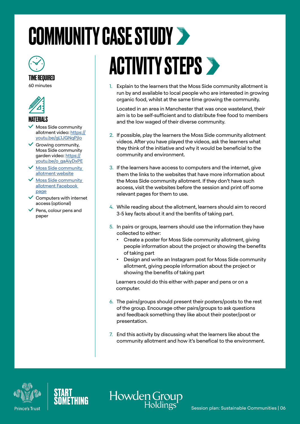### <span id="page-5-0"></span>COMMUNITY CASE STUDY >



TIME REQUIRED 60 minutes



#### **MATFRIALS**

- Moss Side community allotment video: [https://](https://youtu.be/gL1JGNqPjIo) [youtu.be/gL1JGNqPjIo](https://youtu.be/gL1JGNqPjIo)
- $\checkmark$  Growing community, Moss Side community garden video: [https://](https://youtu.be/o_gaAiyDxPE) [youtu.be/o\\_gaAiyDxPE](https://youtu.be/o_gaAiyDxPE)
- $\vee$  Moss Side community [allotment website](https://mosssidecommunityallotment.wordpress.com/about/)
- Moss Side community [allotment](https://www.facebook.com/groups/mosssidecomallotment/?ref=ts) Facebook page
- $\checkmark$  Computers with internet access (optional)
- $\vee$  Pens, colour pens and paper

## **ACTIVITY STEPS >**

1. Explain to the learners that the Moss Side community allotment is run by and available to local people who are interested in growing organic food, whilst at the same time growing the community.

Located in an area in Manchester that was once wasteland, their aim is to be self-sufficient and to distribute free food to members and the low waged of their diverse community.

- 2. If possible, play the learners the Moss Side community allotment videos. After you have played the videos, ask the learners what they think of the initiative and why it would be beneficial to the community and environment.
- 3. If the learners have access to computers and the internet, give them the links to the websites that have more information about the Moss Side community allotment. If they don't have such access, visit the websites before the session and print off some relevant pages for them to use.
- 4. While reading about the allotment, learners should aim to record 3-5 key facts about it and the benfits of taking part.
- 5. In pairs or groups, learners should use the information they have collected to either:
	- Create a poster for Moss Side community allotment, giving people information about the project or showing the benefits of taking part
	- Design and write an Instagram post for Moss Side community allotment, giving people information about the project or showing the benefits of taking part

Learners could do this either with paper and pens or on a computer.

- 6. The pairs/groups should present their posters/posts to the rest of the group. Encourage other pairs/groups to ask questions and feedback something they like about their poster/post or presentation.
- 7. End this activity by discussing what the learners like about the community allotment and how it's benefical to the environment.

Howden Group